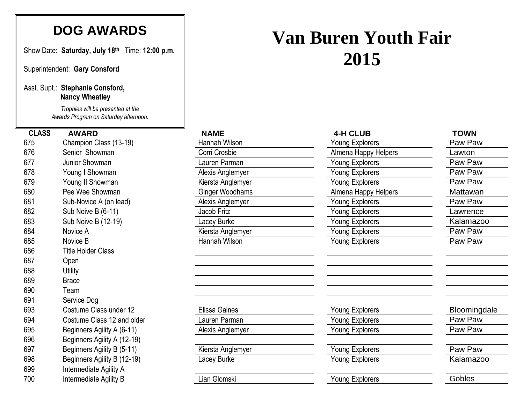# **DOG AWARDS**

Show Date: **Saturday, July 18 th** Time: **12:00 p.m.**

Superintendent: **Gary Consford**

## Asst. Supt.: **Stephanie Consford, Nancy Wheatley**

*Trophies will be presented at the Awards Program on Saturday afternoon.*

| v. v |                             | ו ושטווי זי וושווושו ו | <b>I</b> vully Lippoloid |            |
|------|-----------------------------|------------------------|--------------------------|------------|
| 676  | Senior Showman              | Corri Crosbie          | Almena Happy Helpers     | Lawton     |
| 677  | Junior Showman              | auren Parman           | Young Explorers          | Paw Paw    |
| 678  | Young I Showman             | Alexis Anglemyer       | Young Explorers          | Paw Paw    |
| 679  | Young II Showman            | Kiersta Anglemyer      | Young Explorers          | Paw Paw    |
| 680  | Pee Wee Showman             | <b>Ginger Woodhams</b> | Almena Happy Helpers     | Mattawan   |
| 681  | Sub-Novice A (on lead)      | Alexis Anglemyer       | Young Explorers          | Paw Paw    |
| 682  | Sub Noive B (6-11)          | Jacob Fritz            | Young Explorers          | _awrence   |
| 683  | Sub Noive B (12-19)         | Lacey Burke            | Young Explorers          | Kalamazoo  |
| 684  | Novice A                    | Kiersta Anglemyer      | Young Explorers          | Paw Paw    |
| 685  | Novice B                    | Hannah Wilson          | Young Explorers          | Paw Paw    |
| 686  | <b>Title Holder Class</b>   |                        |                          |            |
| 687  | Open                        |                        |                          |            |
| 688  | <b>Utility</b>              |                        |                          |            |
| 689  | <b>Brace</b>                |                        |                          |            |
| 690  | Team                        |                        |                          |            |
| 691  | Service Dog                 |                        |                          |            |
| 693  | Costume Class under 12      | Elissa Gaines          | Young Explorers          | Bloomingda |
| 694  | Costume Class 12 and older  | auren Parman           | Young Explorers          | Paw Paw    |
| 695  | Beginners Agility A (6-11)  | Alexis Anglemyer       | <b>Young Explorers</b>   | Paw Paw    |
| 696  | Beginners Agility A (12-19) |                        |                          |            |
| 697  | Beginners Agility B (5-11)  | Kiersta Anglemyer      | Young Explorers          | Paw Paw    |
| 698  | Beginners Agility B (12-19) | Lacey Burke            | <b>Young Explorers</b>   | Kalamazoo  |
| 699  | Intermediate Agility A      |                        |                          |            |
| 700  | Intermediate Agility B      | Lian Glomski           | Young Explorers          | Gobles     |
|      |                             |                        |                          |            |

# **Van Buren Youth Fair 2015**

# **CLASS AWARD NAME 4-H CLUB TOWN** 675 Champion Class (13-19) Thannah Wilson Nilson Nulson States and Champion Class (13-19) Ann and Hannah Wilson 676 Senior Showman Corri Crosbie Corri Crosbie Almena Happy Helpers Lawton 677 Junior Showman **Superint Contract Contract Contract Contract Contract Contract Contract Contract Contract Contract Paw Paw** Alexis Anglemyer Kiersta Anglemyer Ginger Woodhams Alexis Anglemyer 682 Sub Noive B (6-11) Sub Noive B (6-11) Sub Noive B (6-11) Jacob Fritz Sub Sub Noive B (6-11) Sub Sub Noive B (6-11) 683 Sub Noive B (12-19) **Sub Noive B (12-19)** Lacey Burke **Notable State Strumber Contract Contract Contract Contract Contract Contract Contract Contract Contract Contract Contract Contract Contract Contract Contract Contr** Kiersta Anglemyer 685 Novice B **Notice B** And Milson Hannah Wilson **Notice 2018** Young Explorers Paw Paw Paw Paw Elissa Gaines **No. 203 Costume Class United States United States Voung Explorers** 694 Costume Class 12 and older Costume Class 12 and older Lauren Parman Costume Tarman Voung Explorers Costume Class 12 and older Alexis Anglemyer **Alexis Anglemyer** Young Explorers Kiersta Anglemyer **Agility B (5-11)** Kiersta Anglemyer Young Explorers

| <b>4-H CLUB</b>        |
|------------------------|
| <b>Young Explorers</b> |
| Almena Happy Helpers   |
| <b>Young Explorers</b> |
| <b>Young Explorers</b> |
| <b>Young Explorers</b> |
| Almena Happy Helpers   |
| <b>Young Explorers</b> |
| <b>Young Explorers</b> |
| <b>Young Explorers</b> |
| <b>Young Explorers</b> |
| <b>Young Explorers</b> |
|                        |
|                        |
|                        |

| <b>CLVV</b>  |
|--------------|
| Lawton       |
| Paw Paw      |
| Paw Paw      |
| Paw Paw      |
| Mattawan     |
| Paw Paw      |
| Lawrence     |
| Kalamazoo    |
| Paw Paw      |
| Paw Paw      |
|              |
|              |
|              |
|              |
|              |
|              |
|              |
| Bloomingdale |
| Paw Paw      |
| Paw Paw      |
|              |
| Paw Paw      |
| Kalamazoo    |